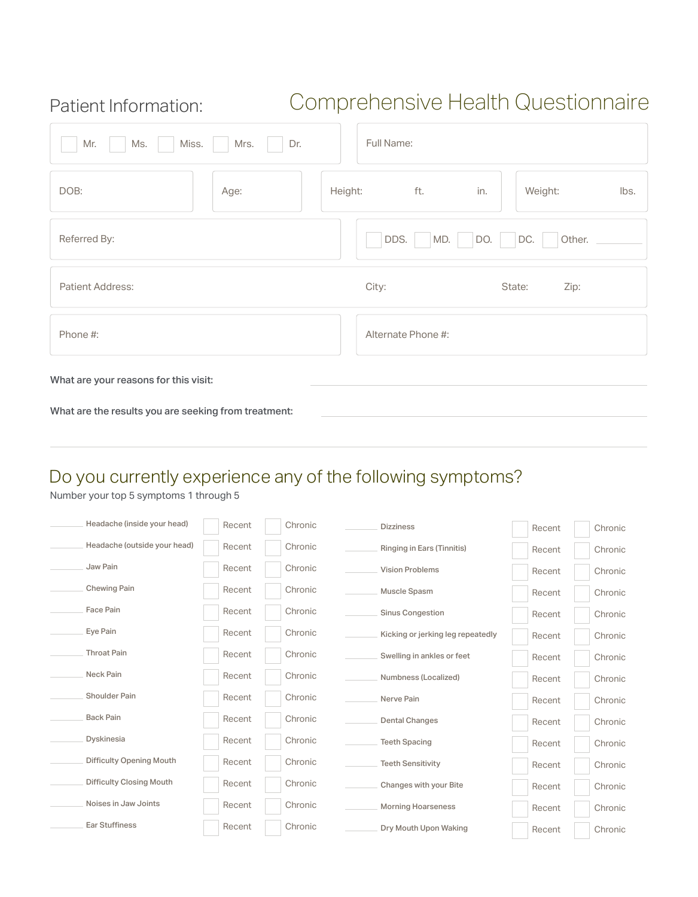### Patient Information:

# Comprehensive Health Questionnaire

| Ms.<br>Miss.<br>Mr.<br>Mrs.                          | Dr.     | Full Name:         |                 |
|------------------------------------------------------|---------|--------------------|-----------------|
| DOB:<br>Age:                                         | Height: | ft.<br>in.         | Weight:<br>lbs. |
| Referred By:                                         |         | DDS.<br>MD.<br>DO. | DC.<br>Other.   |
| Patient Address:                                     |         | City:              | State:<br>Zip:  |
| Phone #:                                             |         | Alternate Phone #: |                 |
| What are your reasons for this visit:                |         |                    |                 |
| What are the results you are seeking from treatment: |         |                    |                 |

## Do you currently experience any of the following symptoms?

Number your top 5 symptoms 1 through 5

| Headache (inside your head)     | Recent | Chronic | <b>Dizziness</b>                  | Recent | Chronic |
|---------------------------------|--------|---------|-----------------------------------|--------|---------|
| Headache (outside your head)    | Recent | Chronic | Ringing in Ears (Tinnitis)        | Recent | Chronic |
| Jaw Pain                        | Recent | Chronic | <b>Vision Problems</b>            | Recent | Chronic |
| Chewing Pain                    | Recent | Chronic | Muscle Spasm                      | Recent | Chronic |
| Face Pain                       | Recent | Chronic | <b>Sinus Congestion</b>           | Recent | Chronic |
| Eye Pain                        | Recent | Chronic | Kicking or jerking leg repeatedly | Recent | Chronic |
| <b>Throat Pain</b>              | Recent | Chronic | Swelling in ankles or feet        | Recent | Chronic |
| Neck Pain                       | Recent | Chronic | Numbness (Localized)              | Recent | Chronic |
| Shoulder Pain                   | Recent | Chronic | Nerve Pain                        | Recent | Chronic |
| <b>Back Pain</b>                | Recent | Chronic | <b>Dental Changes</b>             | Recent | Chronic |
| Dyskinesia                      | Recent | Chronic | <b>Teeth Spacing</b>              | Recent | Chronic |
| <b>Difficulty Opening Mouth</b> | Recent | Chronic | <b>Teeth Sensitivity</b>          | Recent | Chronic |
| <b>Difficulty Closing Mouth</b> | Recent | Chronic | Changes with your Bite            | Recent | Chronic |
| Noises in Jaw Joints            | Recent | Chronic | <b>Morning Hoarseness</b>         | Recent | Chronic |
| <b>Ear Stuffiness</b>           | Recent | Chronic | Dry Mouth Upon Waking             | Recent | Chronic |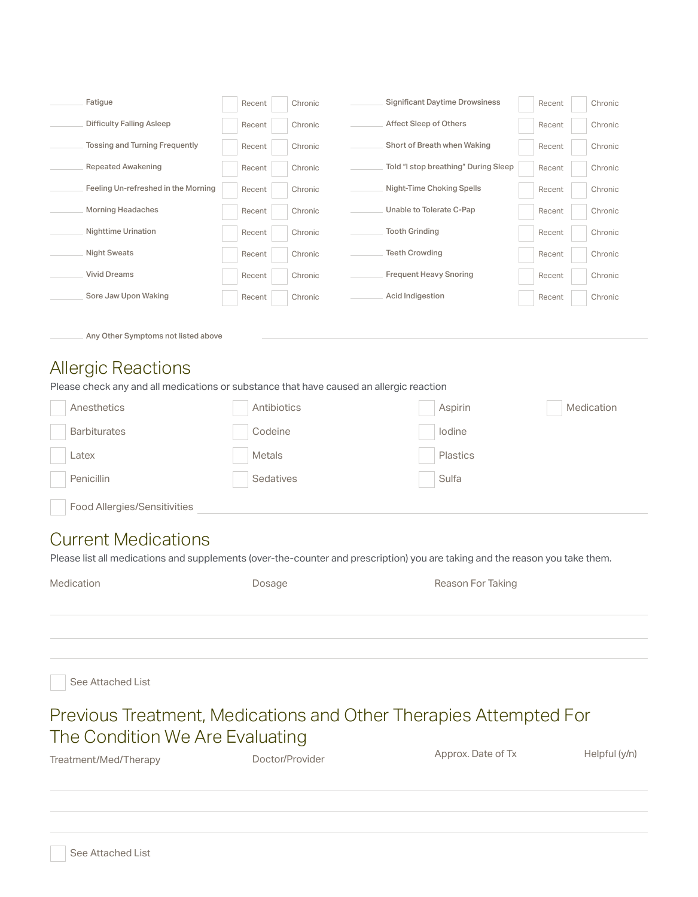| Fatigue                               | Recent | Chronic | <b>Significant Daytime Drowsiness</b> | Recent | Chronic |
|---------------------------------------|--------|---------|---------------------------------------|--------|---------|
| <b>Difficulty Falling Asleep</b>      | Recent | Chronic | Affect Sleep of Others                | Recent | Chronic |
| <b>Tossing and Turning Frequently</b> | Recent | Chronic | Short of Breath when Waking           | Recent | Chronic |
| <b>Repeated Awakening</b>             | Recent | Chronic | Told "I stop breathing" During Sleep  | Recent | Chronic |
| Feeling Un-refreshed in the Morning   | Recent | Chronic | Night-Time Choking Spells             | Recent | Chronic |
| <b>Morning Headaches</b>              | Recent | Chronic | Unable to Tolerate C-Pap              | Recent | Chronic |
| <b>Nighttime Urination</b>            | Recent | Chronic | <b>Tooth Grinding</b>                 | Recent | Chronic |
| <b>Night Sweats</b>                   | Recent | Chronic | <b>Teeth Crowding</b>                 | Recent | Chronic |
| <b>Vivid Dreams</b>                   | Recent | Chronic | <b>Frequent Heavy Snoring</b>         | Recent | Chronic |
| Sore Jaw Upon Waking                  | Recent | Chronic | Acid Indigestion                      | Recent | Chronic |
|                                       |        |         |                                       |        |         |

Any Other Symptoms not listed above

#### Allergic Reactions

Please check any and all medications or substance that have caused an allergic reaction

| Anesthetics                  | Antibiotics | Aspirin  | Medication |
|------------------------------|-------------|----------|------------|
| <b>Barbiturates</b>          | Codeine     | lodine   |            |
| $\mathsf{L}\mathsf{atex}$    | Metals      | Plastics |            |
| Penicillin                   | Sedatives   | Sulfa    |            |
| Food Allergies/Sensitivities |             |          |            |

#### Current Medications

Please list all medications and supplements (over-the-counter and prescription) you are taking and the reason you take them.

| Medication | Dosage | Reason For Taking |
|------------|--------|-------------------|
|            |        |                   |
|            |        |                   |
|            |        |                   |

See Attached List

### Previous Treatment, Medications and Other Therapies Attempted For The Condition We Are Evaluating

| Treatment/Med/Therapy | Doctor/Provider | Approx. Date of Tx | Helpful (y/n) |
|-----------------------|-----------------|--------------------|---------------|
|                       |                 |                    |               |
|                       |                 |                    |               |
|                       |                 |                    |               |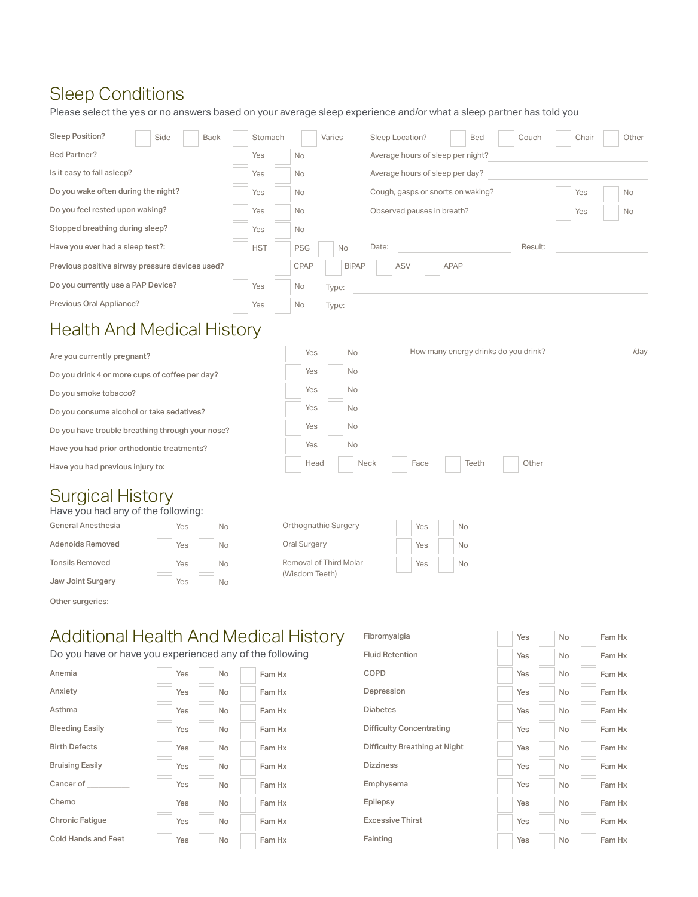## Sleep Conditions

Please select the yes or no answers based on your average sleep experience and/or what a sleep partner has told you

| Sleep Position?                                               | Side |     | <b>Back</b> |            | Stomach |  |                                                |                            | Varies |              |      | Sleep Location? |     |      |  |             | <b>Bed</b>                        |    | Couch                                | Chair | Other |
|---------------------------------------------------------------|------|-----|-------------|------------|---------|--|------------------------------------------------|----------------------------|--------|--------------|------|-----------------|-----|------|--|-------------|-----------------------------------|----|--------------------------------------|-------|-------|
| <b>Bed Partner?</b>                                           |      |     |             | Yes        |         |  | <b>No</b>                                      |                            |        |              |      |                 |     |      |  |             | Average hours of sleep per night? |    |                                      |       |       |
| Is it easy to fall asleep?                                    |      |     |             | Yes        |         |  | <b>No</b>                                      |                            |        |              |      |                 |     |      |  |             | Average hours of sleep per day?   |    |                                      |       |       |
| Do you wake often during the night?                           |      |     |             | Yes        |         |  | Cough, gasps or snorts on waking?<br><b>No</b> |                            |        |              |      |                 |     |      |  | Yes         | No                                |    |                                      |       |       |
| Do you feel rested upon waking?                               |      | Yes |             |            |         |  | <b>No</b>                                      | Observed pauses in breath? |        |              |      |                 |     |      |  |             | Yes                               | No |                                      |       |       |
| Stopped breathing during sleep?                               |      |     |             | Yes        |         |  | No                                             |                            |        |              |      |                 |     |      |  |             |                                   |    |                                      |       |       |
| Have you ever had a sleep test?:                              |      |     |             | <b>HST</b> |         |  | <b>PSG</b>                                     |                            |        | No           |      | Date:           |     |      |  |             |                                   |    | Result:                              |       |       |
| Previous positive airway pressure devices used?               |      |     |             |            |         |  | <b>CPAP</b>                                    |                            |        | <b>BiPAP</b> |      |                 | ASV |      |  | <b>APAP</b> |                                   |    |                                      |       |       |
| Do you currently use a PAP Device?                            |      |     |             | Yes        |         |  | No                                             |                            | Type:  |              |      |                 |     |      |  |             |                                   |    |                                      |       |       |
| Previous Oral Appliance?                                      |      |     |             | Yes        |         |  | No                                             |                            | Type:  |              |      |                 |     |      |  |             |                                   |    |                                      |       |       |
| <b>Health And Medical History</b>                             |      |     |             |            |         |  |                                                |                            |        |              |      |                 |     |      |  |             |                                   |    |                                      |       |       |
| Are you currently pregnant?                                   |      |     |             |            |         |  |                                                | Yes                        |        | <b>No</b>    |      |                 |     |      |  |             |                                   |    | How many energy drinks do you drink? |       | /day  |
| Do you drink 4 or more cups of coffee per day?                |      |     |             |            |         |  |                                                | Yes                        |        | No.          |      |                 |     |      |  |             |                                   |    |                                      |       |       |
| Do you smoke tobacco?                                         |      |     |             |            |         |  |                                                | Yes                        |        | No.          |      |                 |     |      |  |             |                                   |    |                                      |       |       |
| Do you consume alcohol or take sedatives?                     |      |     |             |            |         |  |                                                | Yes                        |        | No.          |      |                 |     |      |  |             |                                   |    |                                      |       |       |
| Do you have trouble breathing through your nose?              |      |     |             |            |         |  |                                                | Yes                        |        | No.          |      |                 |     |      |  |             |                                   |    |                                      |       |       |
| Have you had prior orthodontic treatments?                    |      |     |             |            |         |  |                                                | Yes                        |        | No           |      |                 |     |      |  |             |                                   |    |                                      |       |       |
| Have you had previous injury to:                              |      |     |             |            |         |  |                                                | Head                       |        |              | Neck |                 |     | Face |  |             | Teeth                             |    | Other                                |       |       |
| <b>Surgical History</b><br>Have you had any of the following: |      |     |             |            |         |  |                                                |                            |        |              |      |                 |     |      |  |             |                                   |    |                                      |       |       |
| <b>General Anesthesia</b>                                     | Yes  |     | No          |            |         |  |                                                | Orthognathic Surgery       |        |              |      |                 |     | Yes  |  |             | <b>No</b>                         |    |                                      |       |       |
| Adenoids Removed                                              | Yes  |     | No          |            |         |  |                                                | Oral Surgery               |        |              |      |                 |     | Yes  |  |             | No                                |    |                                      |       |       |
| <b>Tonsils Removed</b>                                        | Yes  |     | No          |            |         |  |                                                | Removal of Third Molar     |        |              |      |                 |     | Yes  |  |             | No                                |    |                                      |       |       |
| Jaw Joint Surgery                                             | Yes  |     | No          |            |         |  |                                                | (Wisdom Teeth)             |        |              |      |                 |     |      |  |             |                                   |    |                                      |       |       |
| Other surgeries:                                              |      |     |             |            |         |  |                                                |                            |        |              |      |                 |     |      |  |             |                                   |    |                                      |       |       |

## Additional Health And Medical History

Do you have or have you experienced any of the following

| Anemia                     | Yes        | <b>No</b> | Fam Hx | COPD                            | Yes |
|----------------------------|------------|-----------|--------|---------------------------------|-----|
| Anxiety                    | Yes        | <b>No</b> | Fam Hx | Depression                      | Yes |
| Asthma                     | Yes        | <b>No</b> | Fam Hx | <b>Diabetes</b>                 | Yes |
| <b>Bleeding Easily</b>     | <b>Yes</b> | <b>No</b> | Fam Hx | <b>Difficulty Concentrating</b> | Yes |
| <b>Birth Defects</b>       | Yes        | <b>No</b> | Fam Hx | Difficulty Breathing at Night   | Yes |
| <b>Bruising Easily</b>     | Yes        | <b>No</b> | Fam Hx | <b>Dizziness</b>                | Yes |
| Cancer of                  | Yes        | <b>No</b> | Fam Hx | Emphysema                       | Yes |
| Chemo                      | Yes        | <b>No</b> | Fam Hx | Epilepsy                        | Yes |
| <b>Chronic Fatigue</b>     | Yes        | <b>No</b> | Fam Hx | <b>Excessive Thirst</b>         | Yes |
| <b>Cold Hands and Feet</b> | Yes        | <b>No</b> | Fam Hx | Fainting                        | Yes |

|     |           | า And Medical History         | Fibromyalgia                    | <b>Yes</b> | <b>No</b> | Fam Hx |
|-----|-----------|-------------------------------|---------------------------------|------------|-----------|--------|
|     |           | erienced any of the following | <b>Fluid Retention</b>          | <b>Yes</b> | No        | Fam Hx |
| Yes | <b>No</b> | Fam Hx                        | COPD                            | <b>Yes</b> | No        | Fam Hx |
| Yes | <b>No</b> | Fam Hx                        | Depression                      | <b>Yes</b> | <b>No</b> | Fam Hx |
| Yes | <b>No</b> | Fam Hx                        | <b>Diabetes</b>                 | <b>Yes</b> | <b>No</b> | Fam Hx |
| Yes | <b>No</b> | Fam Hx                        | <b>Difficulty Concentrating</b> | <b>Yes</b> | <b>No</b> | Fam Hx |
| Yes | <b>No</b> | Fam Hx                        | Difficulty Breathing at Night   | <b>Yes</b> | <b>No</b> | Fam Hx |
| Yes | <b>No</b> | Fam Hx                        | <b>Dizziness</b>                | <b>Yes</b> | <b>No</b> | Fam Hx |
| Yes | <b>No</b> | Fam Hx                        | Emphysema                       | <b>Yes</b> | <b>No</b> | Fam Hx |
| Yes | <b>No</b> | Fam Hx                        | Epilepsy                        | <b>Yes</b> | No        | Fam Hx |
| Yes | <b>No</b> | Fam Hx                        | <b>Excessive Thirst</b>         | <b>Yes</b> | No        | Fam Hx |
| Yes | <b>No</b> | Fam Hx                        | Fainting                        | <b>Yes</b> | No        | Fam Hx |
|     |           |                               |                                 |            |           |        |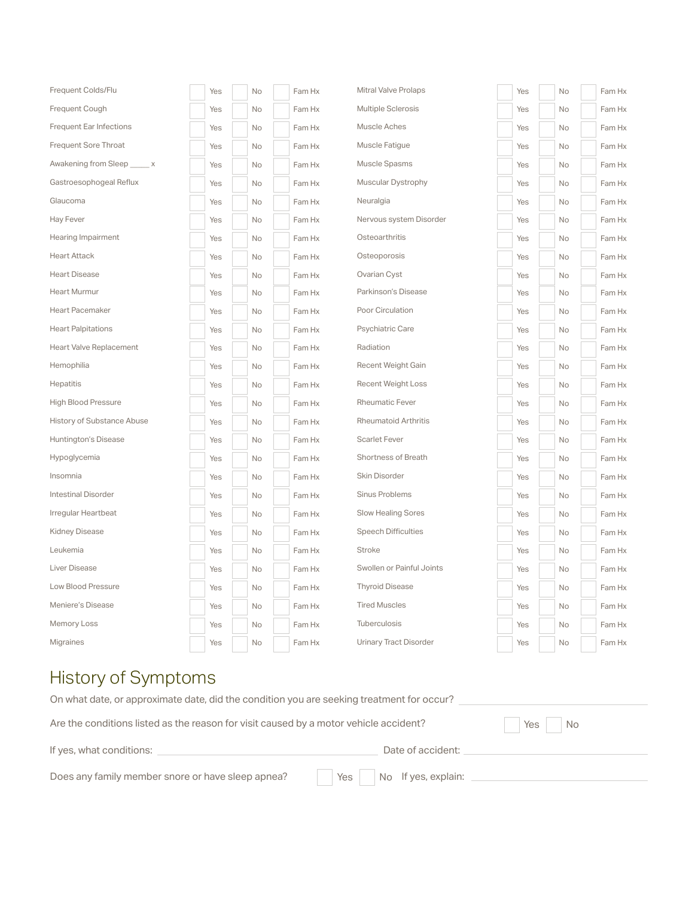| Frequent Colds/Flu             | Yes | No | Fam Hx | <b>Mitral Valve Prolaps</b>   | Yes | No        | Fam Hx |
|--------------------------------|-----|----|--------|-------------------------------|-----|-----------|--------|
| Frequent Cough                 | Yes | No | Fam Hx | Multiple Sclerosis            | Yes | No        | Fam Hx |
| <b>Frequent Ear Infections</b> | Yes | No | Fam Hx | Muscle Aches                  | Yes | No        | Fam Hx |
| Frequent Sore Throat           | Yes | No | Fam Hx | Muscle Fatigue                | Yes | No        | Fam Hx |
| Awakening from Sleep x         | Yes | No | Fam Hx | Muscle Spasms                 | Yes | No        | Fam Hx |
| Gastroesophogeal Reflux        | Yes | No | Fam Hx | Muscular Dystrophy            | Yes | No        | Fam Hx |
| Glaucoma                       | Yes | No | Fam Hx | Neuralgia                     | Yes | No        | Fam Hx |
| Hay Fever                      | Yes | No | Fam Hx | Nervous system Disorder       | Yes | No        | Fam Hx |
| Hearing Impairment             | Yes | No | Fam Hx | Osteoarthritis                | Yes | <b>No</b> | Fam Hx |
| <b>Heart Attack</b>            | Yes | No | Fam Hx | Osteoporosis                  | Yes | No        | Fam Hx |
| <b>Heart Disease</b>           | Yes | No | Fam Hx | Ovarian Cyst                  | Yes | No        | Fam Hx |
| <b>Heart Murmur</b>            | Yes | No | Fam Hx | Parkinson's Disease           | Yes | No        | Fam Hx |
| <b>Heart Pacemaker</b>         | Yes | No | Fam Hx | Poor Circulation              | Yes | No        | Fam Hx |
| <b>Heart Palpitations</b>      | Yes | No | Fam Hx | Psychiatric Care              | Yes | No        | Fam Hx |
| Heart Valve Replacement        | Yes | No | Fam Hx | Radiation                     | Yes | No        | Fam Hx |
| Hemophilia                     | Yes | No | Fam Hx | <b>Recent Weight Gain</b>     | Yes | No        | Fam Hx |
| Hepatitis                      | Yes | No | Fam Hx | <b>Recent Weight Loss</b>     | Yes | No        | Fam Hx |
| <b>High Blood Pressure</b>     | Yes | No | Fam Hx | <b>Rheumatic Fever</b>        | Yes | No        | Fam Hx |
| History of Substance Abuse     | Yes | No | Fam Hx | <b>Rheumatoid Arthritis</b>   | Yes | No        | Fam Hx |
| Huntington's Disease           | Yes | No | Fam Hx | <b>Scarlet Fever</b>          | Yes | No        | Fam Hx |
| Hypoglycemia                   | Yes | No | Fam Hx | Shortness of Breath           | Yes | No        | Fam Hx |
| Insomnia                       | Yes | No | Fam Hx | Skin Disorder                 | Yes | No        | Fam Hx |
| Intestinal Disorder            | Yes | No | Fam Hx | Sinus Problems                | Yes | No        | Fam Hx |
| Irregular Heartbeat            | Yes | No | Fam Hx | Slow Healing Sores            | Yes | No        | Fam Hx |
| <b>Kidney Disease</b>          | Yes | No | Fam Hx | <b>Speech Difficulties</b>    | Yes | No        | Fam Hx |
| Leukemia                       | Yes | No | Fam Hx | Stroke                        | Yes | No        | Fam Hx |
| Liver Disease                  | Yes | No | Fam Hx | Swollen or Painful Joints     | Yes | No        | Fam Hx |
| Low Blood Pressure             | Yes | No | Fam Hx | <b>Thyroid Disease</b>        | Yes | No        | Fam Hx |
| Meniere's Disease              | Yes | No | Fam Hx | <b>Tired Muscles</b>          | Yes | No        | Fam Hx |
| <b>Memory Loss</b>             | Yes | No | Fam Hx | Tuberculosis                  | Yes | No        | Fam Hx |
| Migraines                      | Yes | No | Fam Hx | <b>Urinary Tract Disorder</b> | Yes | No        | Fam Hx |

# History of Symptoms

| On what date, or approximate date, did the condition you are seeking treatment for occur? |                     |
|-------------------------------------------------------------------------------------------|---------------------|
| Are the conditions listed as the reason for visit caused by a motor vehicle accident?     | Yes  <br>l No       |
| If yes, what conditions:                                                                  | Date of accident:   |
| Does any family member snore or have sleep apnea?<br>Yes                                  | No If yes, explain: |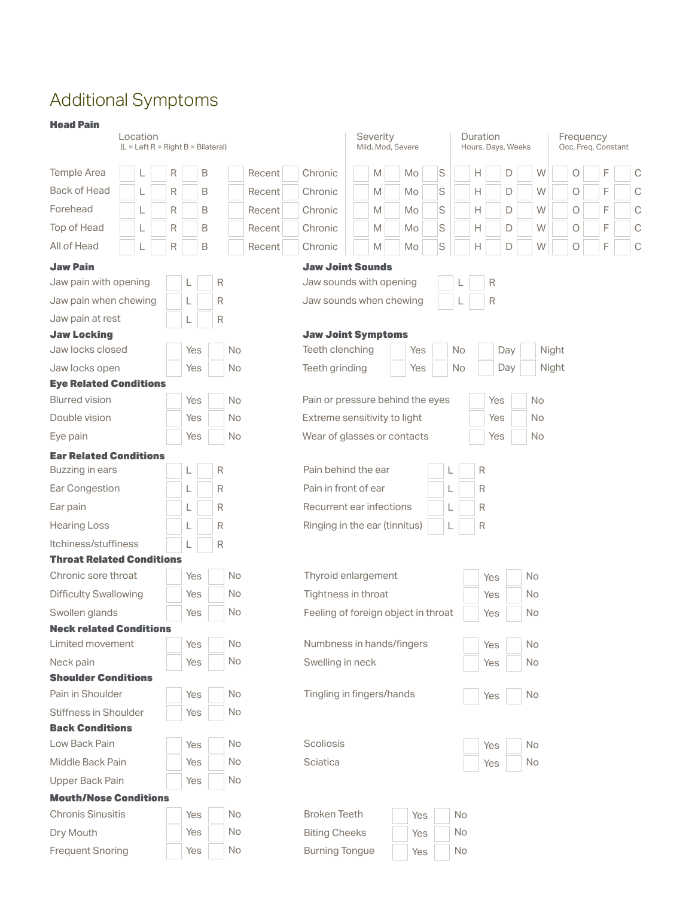# Additional Symptoms

| <b>Head Pain</b>                        | Location<br>$(L = Left R = Right B = Bilateral)$ |   |  |   |     |   |   |           |        |                                     | Severity<br>Mild, Mod, Severe |  |   |  |    |     |   |           |   | Duration     |     | Hours, Days, Weeks |           | Frequency<br>Occ, Freq, Constant |  |         |   |  |             |  |
|-----------------------------------------|--------------------------------------------------|---|--|---|-----|---|---|-----------|--------|-------------------------------------|-------------------------------|--|---|--|----|-----|---|-----------|---|--------------|-----|--------------------|-----------|----------------------------------|--|---------|---|--|-------------|--|
| Temple Area                             |                                                  |   |  | R |     | B |   |           | Recent | Chronic                             |                               |  | M |  | Mo |     | S |           | Н |              | D   |                    | W         |                                  |  | O       | F |  | С           |  |
| Back of Head                            |                                                  | L |  | R |     | B |   |           | Recent | Chronic                             |                               |  | M |  | Mo |     | S |           | Н |              | D   |                    | W         |                                  |  | $\circ$ | F |  | С           |  |
| Forehead                                |                                                  |   |  | R |     | B |   |           | Recent | Chronic                             |                               |  | M |  | Mo |     | S |           | Н |              | D   |                    | W         |                                  |  | Ο       | F |  | C           |  |
| Top of Head                             |                                                  |   |  | R |     | B |   |           | Recent | Chronic                             |                               |  | M |  | Mo |     | S |           | Н |              | D   |                    | W         |                                  |  | $\circ$ | F |  | С           |  |
| All of Head                             |                                                  |   |  | R |     | B |   |           | Recent | Chronic                             |                               |  | M |  | Mo |     | S |           | Н |              | D   |                    | W         |                                  |  | $\circ$ | F |  | $\mathbb C$ |  |
| <b>Jaw Pain</b>                         |                                                  |   |  |   |     |   |   |           |        | <b>Jaw Joint Sounds</b>             |                               |  |   |  |    |     |   |           |   |              |     |                    |           |                                  |  |         |   |  |             |  |
| Jaw pain with opening                   |                                                  |   |  |   |     |   | R |           |        | Jaw sounds with opening             |                               |  |   |  |    |     |   |           |   | $\mathsf R$  |     |                    |           |                                  |  |         |   |  |             |  |
| Jaw pain when chewing                   |                                                  |   |  |   |     |   | R |           |        | Jaw sounds when chewing             |                               |  |   |  |    |     |   |           |   | R            |     |                    |           |                                  |  |         |   |  |             |  |
| Jaw pain at rest                        |                                                  |   |  |   |     |   | R |           |        |                                     |                               |  |   |  |    |     |   |           |   |              |     |                    |           |                                  |  |         |   |  |             |  |
| <b>Jaw Locking</b>                      |                                                  |   |  |   |     |   |   |           |        | <b>Jaw Joint Symptoms</b>           |                               |  |   |  |    |     |   |           |   |              |     |                    |           |                                  |  |         |   |  |             |  |
| Jaw locks closed                        |                                                  |   |  |   | Yes |   |   | No        |        | Teeth clenching                     |                               |  |   |  |    | Yes |   | No        |   |              | Day |                    |           | Night                            |  |         |   |  |             |  |
| Jaw locks open                          |                                                  |   |  |   | Yes |   |   | No        |        | Teeth grinding                      |                               |  |   |  |    | Yes |   | <b>No</b> |   |              | Day |                    |           | Night                            |  |         |   |  |             |  |
| <b>Eye Related Conditions</b>           |                                                  |   |  |   |     |   |   |           |        |                                     |                               |  |   |  |    |     |   |           |   |              |     |                    |           |                                  |  |         |   |  |             |  |
| <b>Blurred vision</b>                   |                                                  |   |  |   | Yes |   |   | No        |        | Pain or pressure behind the eyes    |                               |  |   |  |    |     |   |           |   | Yes          |     |                    | <b>No</b> |                                  |  |         |   |  |             |  |
| Double vision                           |                                                  |   |  |   | Yes |   |   | No        |        | Extreme sensitivity to light        |                               |  |   |  |    |     |   |           |   | Yes          |     |                    | <b>No</b> |                                  |  |         |   |  |             |  |
| Eye pain                                |                                                  |   |  |   | Yes |   |   | No        |        | Wear of glasses or contacts         |                               |  |   |  |    |     |   |           |   | Yes          |     |                    | No        |                                  |  |         |   |  |             |  |
| <b>Ear Related Conditions</b>           |                                                  |   |  |   |     |   |   |           |        |                                     |                               |  |   |  |    |     |   |           |   |              |     |                    |           |                                  |  |         |   |  |             |  |
| Buzzing in ears                         |                                                  |   |  |   |     |   | R |           |        | Pain behind the ear                 |                               |  |   |  |    |     |   |           |   | $\mathsf R$  |     |                    |           |                                  |  |         |   |  |             |  |
| Ear Congestion                          |                                                  |   |  |   |     |   | R |           |        | Pain in front of ear                |                               |  |   |  |    |     |   |           |   | R            |     |                    |           |                                  |  |         |   |  |             |  |
| Ear pain                                |                                                  |   |  |   |     |   | R |           |        | Recurrent ear infections            |                               |  |   |  |    |     |   |           |   | $\mathsf{R}$ |     |                    |           |                                  |  |         |   |  |             |  |
| <b>Hearing Loss</b>                     |                                                  |   |  |   |     |   | R |           |        | Ringing in the ear (tinnitus)       |                               |  |   |  |    |     |   |           |   | $\mathsf R$  |     |                    |           |                                  |  |         |   |  |             |  |
| Itchiness/stuffiness                    |                                                  |   |  |   |     |   | R |           |        |                                     |                               |  |   |  |    |     |   |           |   |              |     |                    |           |                                  |  |         |   |  |             |  |
| <b>Throat Related Conditions</b>        |                                                  |   |  |   |     |   |   |           |        |                                     |                               |  |   |  |    |     |   |           |   |              |     |                    |           |                                  |  |         |   |  |             |  |
| Chronic sore throat                     |                                                  |   |  |   | Yes |   |   | No        |        | Thyroid enlargement                 |                               |  |   |  |    |     |   |           |   | Yes          |     |                    | <b>No</b> |                                  |  |         |   |  |             |  |
| <b>Difficulty Swallowing</b>            |                                                  |   |  |   | Yes |   |   | <b>No</b> |        | Tightness in throat                 |                               |  |   |  |    |     |   |           |   | Yes          |     |                    | No        |                                  |  |         |   |  |             |  |
| Swollen glands                          |                                                  |   |  |   | Yes |   |   | <b>No</b> |        | Feeling of foreign object in throat |                               |  |   |  |    |     |   |           |   | Yes          |     | $\sim$             | No.       |                                  |  |         |   |  |             |  |
| <b>Neck related Conditions</b>          |                                                  |   |  |   |     |   |   |           |        |                                     |                               |  |   |  |    |     |   |           |   |              |     |                    |           |                                  |  |         |   |  |             |  |
| Limited movement                        |                                                  |   |  |   | Yes |   |   | $\rm No$  |        | Numbness in hands/fingers           |                               |  |   |  |    |     |   |           |   | Yes          |     |                    | No        |                                  |  |         |   |  |             |  |
| Neck pain                               |                                                  |   |  |   | Yes |   |   | No        |        | Swelling in neck                    |                               |  |   |  |    |     |   |           |   | Yes          |     |                    | No        |                                  |  |         |   |  |             |  |
| <b>Shoulder Conditions</b>              |                                                  |   |  |   |     |   |   |           |        |                                     |                               |  |   |  |    |     |   |           |   |              |     |                    |           |                                  |  |         |   |  |             |  |
| Pain in Shoulder                        |                                                  |   |  |   | Yes |   |   | No        |        | Tingling in fingers/hands           |                               |  |   |  |    |     |   |           |   | Yes          |     |                    | No        |                                  |  |         |   |  |             |  |
| Stiffness in Shoulder                   |                                                  |   |  |   | Yes |   |   | No        |        |                                     |                               |  |   |  |    |     |   |           |   |              |     |                    |           |                                  |  |         |   |  |             |  |
| <b>Back Conditions</b><br>Low Back Pain |                                                  |   |  |   |     |   |   | No        |        | Scoliosis                           |                               |  |   |  |    |     |   |           |   |              |     |                    |           |                                  |  |         |   |  |             |  |
|                                         |                                                  |   |  |   | Yes |   |   |           |        |                                     |                               |  |   |  |    |     |   |           |   | Yes          |     |                    | No        |                                  |  |         |   |  |             |  |
| Middle Back Pain                        |                                                  |   |  |   | Yes |   |   | No        |        | Sciatica                            |                               |  |   |  |    |     |   |           |   | Yes          |     |                    | No        |                                  |  |         |   |  |             |  |
| Upper Back Pain                         |                                                  |   |  |   | Yes |   |   | No        |        |                                     |                               |  |   |  |    |     |   |           |   |              |     |                    |           |                                  |  |         |   |  |             |  |
| <b>Mouth/Nose Conditions</b>            |                                                  |   |  |   |     |   |   |           |        |                                     |                               |  |   |  |    |     |   |           |   |              |     |                    |           |                                  |  |         |   |  |             |  |
| <b>Chronis Sinusitis</b>                |                                                  |   |  |   | Yes |   |   | No        |        | <b>Broken Teeth</b>                 |                               |  |   |  |    | Yes |   | No        |   |              |     |                    |           |                                  |  |         |   |  |             |  |
| Dry Mouth                               |                                                  |   |  |   | Yes |   |   | No        |        | <b>Biting Cheeks</b>                |                               |  |   |  |    | Yes |   | No        |   |              |     |                    |           |                                  |  |         |   |  |             |  |
| <b>Frequent Snoring</b>                 |                                                  |   |  |   | Yes |   |   | No        |        | <b>Burning Tongue</b>               |                               |  |   |  |    | Yes |   | No        |   |              |     |                    |           |                                  |  |         |   |  |             |  |